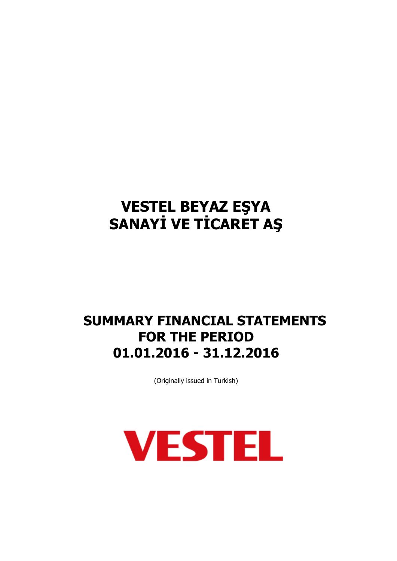# **SUMMARY FINANCIAL STATEMENTS FOR THE PERIOD 01.01.2016 - 31.12.2016**

(Originally issued in Turkish)

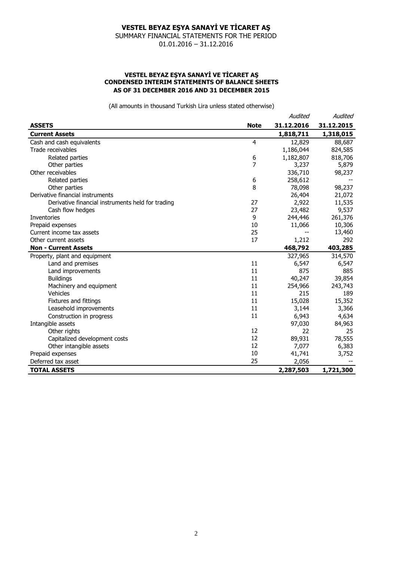SUMMARY FINANCIAL STATEMENTS FOR THE PERIOD 01.01.2016 – 31.12.2016

### **VESTEL BEYAZ EŞYA SANAYİ VE TİCARET AŞ CONDENSED INTERIM STATEMENTS OF BALANCE SHEETS AS OF 31 DECEMBER 2016 AND 31 DECEMBER 2015**

|                                                   |                | Audited    | Audited    |
|---------------------------------------------------|----------------|------------|------------|
| <b>ASSETS</b>                                     | <b>Note</b>    | 31.12.2016 | 31.12.2015 |
| <b>Current Assets</b>                             |                | 1,818,711  | 1,318,015  |
| Cash and cash equivalents                         | $\overline{4}$ | 12,829     | 88,687     |
| Trade receivables                                 |                | 1,186,044  | 824,585    |
| Related parties                                   | 6              | 1,182,807  | 818,706    |
| Other parties                                     | 7              | 3,237      | 5,879      |
| Other receivables                                 |                | 336,710    | 98,237     |
| Related parties                                   | 6              | 258,612    |            |
| Other parties                                     | 8              | 78,098     | 98,237     |
| Derivative financial instruments                  |                | 26,404     | 21,072     |
| Derivative financial instruments held for trading | 27             | 2,922      | 11,535     |
| Cash flow hedges                                  | 27             | 23,482     | 9,537      |
| Inventories                                       | 9              | 244,446    | 261,376    |
| Prepaid expenses                                  | 10             | 11,066     | 10,306     |
| Current income tax assets                         | 25             | --         | 13,460     |
| Other current assets                              | 17             | 1,212      | 292        |
| <b>Non - Current Assets</b>                       |                | 468,792    | 403,285    |
| Property, plant and equipment                     |                | 327,965    | 314,570    |
| Land and premises                                 | 11             | 6,547      | 6,547      |
| Land improvements                                 | 11             | 875        | 885        |
| <b>Buildings</b>                                  | 11             | 40,247     | 39,854     |
| Machinery and equipment                           | 11             | 254,966    | 243,743    |
| Vehicles                                          | 11             | 215        | 189        |
| Fixtures and fittings                             | 11             | 15,028     | 15,352     |
| Leasehold improvements                            | 11             | 3,144      | 3,366      |
| Construction in progress                          | 11             | 6,943      | 4,634      |
| Intangible assets                                 |                | 97,030     | 84,963     |
| Other rights                                      | 12             | 22         | 25         |
| Capitalized development costs                     | 12             | 89,931     | 78,555     |
| Other intangible assets                           | 12             | 7,077      | 6,383      |
| Prepaid expenses                                  | 10             | 41,741     | 3,752      |
| Deferred tax asset                                | 25             | 2,056      |            |
| <b>TOTAL ASSETS</b>                               |                | 2,287,503  | 1,721,300  |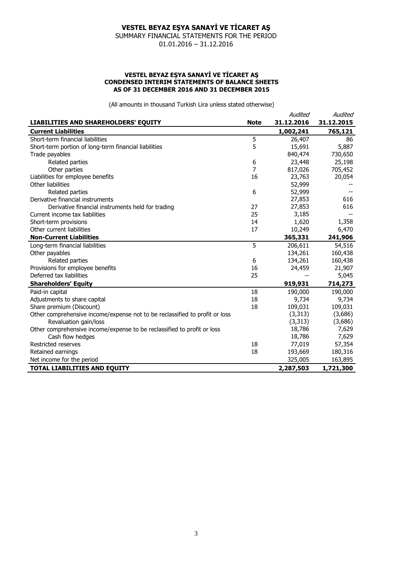SUMMARY FINANCIAL STATEMENTS FOR THE PERIOD 01.01.2016 – 31.12.2016

#### **VESTEL BEYAZ EŞYA SANAYİ VE TİCARET AŞ CONDENSED INTERIM STATEMENTS OF BALANCE SHEETS AS OF 31 DECEMBER 2016 AND 31 DECEMBER 2015**

|                                                                             |             | Audited    | Audited    |
|-----------------------------------------------------------------------------|-------------|------------|------------|
| LIABILITIES AND SHAREHOLDERS' EQUITY                                        | <b>Note</b> | 31.12.2016 | 31.12.2015 |
| <b>Current Liabilities</b>                                                  |             | 1,002,241  | 765,121    |
| Short-term financial liabilities                                            | 5           | 26,407     | 86         |
| Short-term portion of long-term financial liabilities                       | 5           | 15,691     | 5,887      |
| Trade payables                                                              |             | 840,474    | 730,650    |
| Related parties                                                             | 6           | 23,448     | 25,198     |
| Other parties                                                               | 7           | 817,026    | 705,452    |
| Liabilities for employee benefits                                           | 16          | 23,763     | 20,054     |
| Other liabilities                                                           |             | 52,999     |            |
| Related parties                                                             | 6           | 52,999     |            |
| Derivative financial instruments                                            |             | 27,853     | 616        |
| Derivative financial instruments held for trading                           | 27          | 27,853     | 616        |
| Current income tax liabilities                                              | 25          | 3,185      |            |
| Short-term provisions                                                       | 14          | 1,620      | 1,358      |
| Other current liabilities                                                   | 17          | 10,249     | 6,470      |
| <b>Non-Current Liabilities</b>                                              |             | 365,331    | 241,906    |
| Long-term financial liabilities                                             | 5           | 206,611    | 54,516     |
| Other payables                                                              |             | 134,261    | 160,438    |
| Related parties                                                             | 6           | 134,261    | 160,438    |
| Provisions for employee benefits                                            | 16          | 24,459     | 21,907     |
| Deferred tax liabilities                                                    | 25          |            | 5,045      |
| <b>Shareholders' Equity</b>                                                 |             | 919,931    | 714,273    |
| Paid-in capital                                                             | 18          | 190,000    | 190,000    |
| Adjustments to share capital                                                | 18          | 9,734      | 9,734      |
| Share premium (Discount)                                                    | 18          | 109,031    | 109,031    |
| Other comprehensive income/expense not to be reclassified to profit or loss |             | (3, 313)   | (3,686)    |
| Revaluation gain/loss                                                       |             | (3, 313)   | (3,686)    |
| Other comprehensive income/expense to be reclassified to profit or loss     |             | 18,786     | 7,629      |
| Cash flow hedges                                                            |             | 18,786     | 7,629      |
| Restricted reserves                                                         | 18          | 77,019     | 57,354     |
| Retained earnings                                                           | 18          | 193,669    | 180,316    |
| Net income for the period                                                   |             | 325,005    | 163,895    |
| <b>TOTAL LIABILITIES AND EQUITY</b>                                         |             | 2,287,503  | 1,721,300  |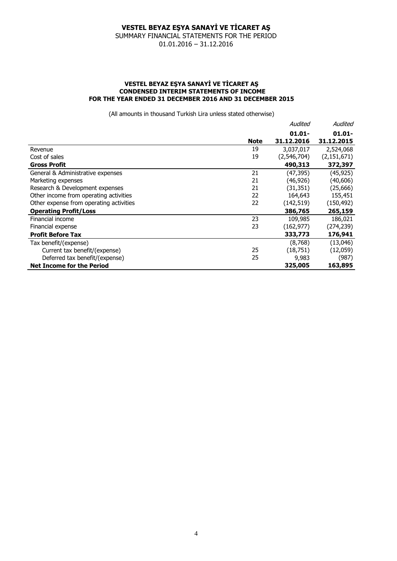SUMMARY FINANCIAL STATEMENTS FOR THE PERIOD 01.01.2016 – 31.12.2016

### **VESTEL BEYAZ EŞYA SANAYİ VE TİCARET AŞ CONDENSED INTERIM STATEMENTS OF INCOME FOR THE YEAR ENDED 31 DECEMBER 2016 AND 31 DECEMBER 2015**

|                                         |             | Audited     | Audited       |
|-----------------------------------------|-------------|-------------|---------------|
|                                         |             | $01.01 -$   | $01.01 -$     |
|                                         | <b>Note</b> | 31.12.2016  | 31.12.2015    |
| Revenue                                 | 19          | 3,037,017   | 2,524,068     |
| Cost of sales                           | 19          | (2,546,704) | (2, 151, 671) |
| <b>Gross Profit</b>                     |             | 490,313     | 372,397       |
| General & Administrative expenses       | 21          | (47,395)    | (45, 925)     |
| Marketing expenses                      | 21          | (46,926)    | (40, 606)     |
| Research & Development expenses         | 21          | (31, 351)   | (25,666)      |
| Other income from operating activities  | 22          | 164,643     | 155,451       |
| Other expense from operating activities | 22          | (142, 519)  | (150, 492)    |
| <b>Operating Profit/Loss</b>            |             | 386,765     | 265,159       |
| Financial income                        | 23          | 109,985     | 186,021       |
| Financial expense                       | 23          | (162, 977)  | (274, 239)    |
| <b>Profit Before Tax</b>                |             | 333,773     | 176,941       |
| Tax benefit/(expense)                   |             | (8,768)     | (13,046)      |
| Current tax benefit/(expense)           | 25          | (18, 751)   | (12,059)      |
| Deferred tax benefit/(expense)          | 25          | 9,983       | (987)         |
| <b>Net Income for the Period</b>        |             | 325,005     | 163,895       |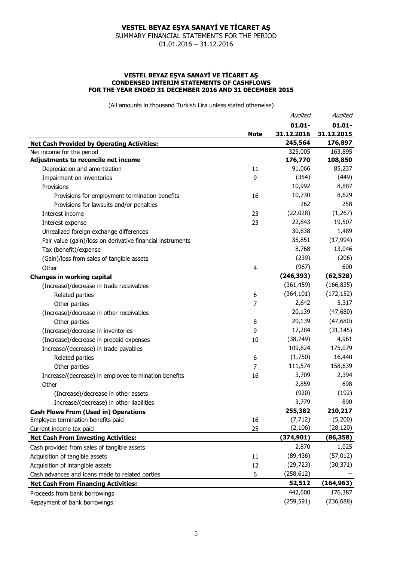SUMMARY FINANCIAL STATEMENTS FOR THE PERIOD 01.01.2016 – 31.12.2016

#### **VESTEL BEYAZ EŞYA SANAYİ VE TİCARET AŞ CONDENSED INTERIM STATEMENTS OF CASHFLOWS FOR THE YEAR ENDED 31 DECEMBER 2016 AND 31 DECEMBER 2015**

|                                                            |             | Audited    | Audited    |
|------------------------------------------------------------|-------------|------------|------------|
|                                                            |             | $01.01 -$  | $01.01 -$  |
|                                                            | <b>Note</b> | 31.12.2016 | 31.12.2015 |
| <b>Net Cash Provided by Operating Activities:</b>          |             | 245,564    | 176,897    |
| Net income for the period                                  |             | 325,005    | 163,895    |
| Adjustments to reconcile net income                        |             | 176,770    | 108,850    |
| Depreciation and amortization                              | 11          | 91,066     | 85,237     |
| Impairment on inventories                                  | 9           | (354)      | (449)      |
| Provisions                                                 |             | 10,992     | 8,887      |
| Provisions for employment termination benefits             | 16          | 10,730     | 8,629      |
| Provisions for lawsuits and/or penalties                   |             | 262        | 258        |
| Interest income                                            | 23          | (22, 028)  | (1,267)    |
| Interest expense                                           | 23          | 22,843     | 19,507     |
| Unrealized foreign exchange differences                    |             | 30,838     | 1,489      |
| Fair value (gain)/loss on derivative financial instruments |             | 35,851     | (17, 994)  |
| Tax (benefit)/expense                                      |             | 8,768      | 13,046     |
| (Gain)/loss from sales of tangible assets                  |             | (239)      | (206)      |
| Other                                                      | 4           | (967)      | 600        |
| <b>Changes in working capital</b>                          |             | (246, 393) | (62, 528)  |
| (Increase)/decrease in trade receivables                   |             | (361, 459) | (166, 835) |
| Related parties                                            | 6           | (364, 101) | (172, 152) |
| Other parties                                              | 7           | 2,642      | 5,317      |
| (Increase)/decrease in other receivables                   |             | 20,139     | (47,680)   |
| Other parties                                              | 8           | 20,139     | (47,680)   |
| (Increase)/decrease in inventories                         | 9           | 17,284     | (31, 145)  |
| (Increase)/decrease in prepaid expenses                    | 10          | (38, 749)  | 4,961      |
| Increase/(decrease) in trade payables                      |             | 109,824    | 175,079    |
| Related parties                                            | 6           | (1,750)    | 16,440     |
| Other parties                                              | 7           | 111,574    | 158,639    |
| Increase/(decrease) in employee termination benefits       | 16          | 3,709      | 2,394      |
| Other                                                      |             | 2,859      | 698        |
| (Increase)/decrease in other assets                        |             | (920)      | (192)      |
| Increase/(decrease) in other liabilities                   |             | 3,779      | 890        |
| <b>Cash Flows From (Used in) Operations</b>                |             | 255,382    | 210,217    |
| Employee termination benefits paid                         | 16          | (7, 712)   | (5,200)    |
| Current income tax paid                                    | 25          | (2, 106)   | (28, 120)  |
| <b>Net Cash From Investing Activities:</b>                 |             | (374, 901) | (86,358)   |
| Cash provided from sales of tangible assets                |             | 2,870      | 1,025      |
| Acquisition of tangible assets                             | 11          | (89, 436)  | (57, 012)  |
| Acquisition of intangible assets                           | 12          | (29, 723)  | (30, 371)  |
| Cash advances and loans made to related parties            | 6           | (258, 612) |            |
| <b>Net Cash From Financing Activities:</b>                 |             | 52,512     | (164, 963) |
| Proceeds from bank borrowings                              |             | 442,600    | 176,387    |
| Repayment of bank borrowings                               |             | (259, 591) | (236, 688) |